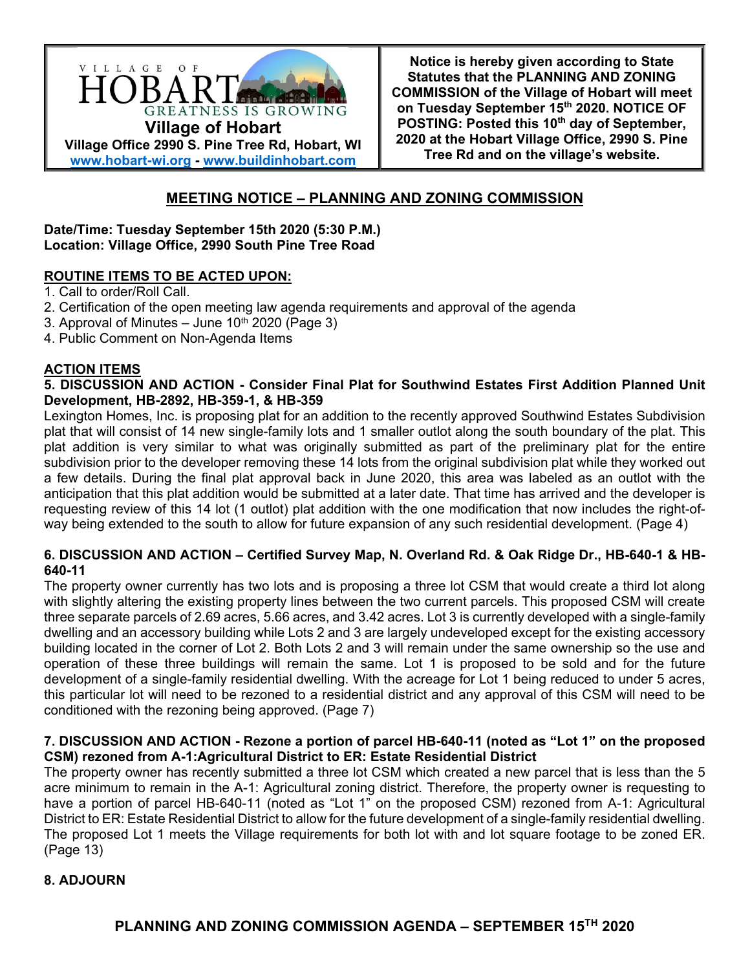

**Notice is hereby given according to State Statutes that the PLANNING AND ZONING COMMISSION of the Village of Hobart will meet on Tuesday September 15th 2020. NOTICE OF POSTING: Posted this 10th day of September, 2020 at the Hobart Village Office, 2990 S. Pine Tree Rd and on the village's website.**

# **MEETING NOTICE – PLANNING AND ZONING COMMISSION**

**Date/Time: Tuesday September 15th 2020 (5:30 P.M.) Location: Village Office, 2990 South Pine Tree Road** 

# **ROUTINE ITEMS TO BE ACTED UPON:**

- 1. Call to order/Roll Call.
- 2. Certification of the open meeting law agenda requirements and approval of the agenda
- 3. Approval of Minutes  $-$  June 10<sup>th</sup> 2020 (Page 3)
- 4. Public Comment on Non-Agenda Items

### **ACTION ITEMS**

### **5. DISCUSSION AND ACTION - Consider Final Plat for Southwind Estates First Addition Planned Unit Development, HB-2892, HB-359-1, & HB-359**

Lexington Homes, Inc. is proposing plat for an addition to the recently approved Southwind Estates Subdivision plat that will consist of 14 new single-family lots and 1 smaller outlot along the south boundary of the plat. This plat addition is very similar to what was originally submitted as part of the preliminary plat for the entire subdivision prior to the developer removing these 14 lots from the original subdivision plat while they worked out a few details. During the final plat approval back in June 2020, this area was labeled as an outlot with the anticipation that this plat addition would be submitted at a later date. That time has arrived and the developer is requesting review of this 14 lot (1 outlot) plat addition with the one modification that now includes the right-ofway being extended to the south to allow for future expansion of any such residential development. (Page 4)

# **6. DISCUSSION AND ACTION – Certified Survey Map, N. Overland Rd. & Oak Ridge Dr., HB-640-1 & HB-640-11**

The property owner currently has two lots and is proposing a three lot CSM that would create a third lot along with slightly altering the existing property lines between the two current parcels. This proposed CSM will create three separate parcels of 2.69 acres, 5.66 acres, and 3.42 acres. Lot 3 is currently developed with a single-family dwelling and an accessory building while Lots 2 and 3 are largely undeveloped except for the existing accessory building located in the corner of Lot 2. Both Lots 2 and 3 will remain under the same ownership so the use and operation of these three buildings will remain the same. Lot 1 is proposed to be sold and for the future development of a single-family residential dwelling. With the acreage for Lot 1 being reduced to under 5 acres, this particular lot will need to be rezoned to a residential district and any approval of this CSM will need to be conditioned with the rezoning being approved. (Page 7)

# **7. DISCUSSION AND ACTION - Rezone a portion of parcel HB-640-11 (noted as "Lot 1" on the proposed CSM) rezoned from A-1:Agricultural District to ER: Estate Residential District**

The property owner has recently submitted a three lot CSM which created a new parcel that is less than the 5 acre minimum to remain in the A-1: Agricultural zoning district. Therefore, the property owner is requesting to have a portion of parcel HB-640-11 (noted as "Lot 1" on the proposed CSM) rezoned from A-1: Agricultural District to ER: Estate Residential District to allow for the future development of a single-family residential dwelling. The proposed Lot 1 meets the Village requirements for both lot with and lot square footage to be zoned ER. (Page 13)

# **8. ADJOURN**